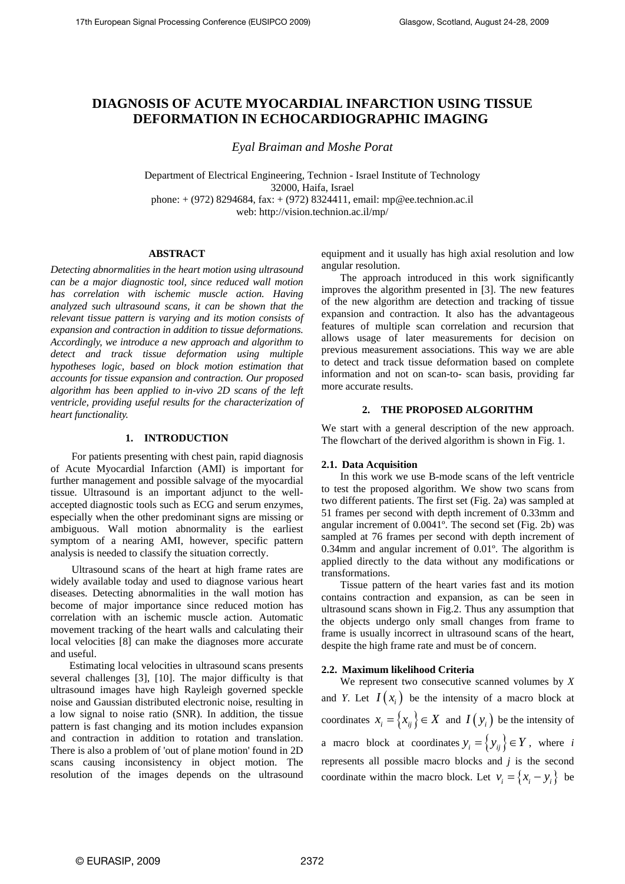# **DIAGNOSIS OF ACUTE MYOCARDIAL INFARCTION USING TISSUE DEFORMATION IN ECHOCARDIOGRAPHIC IMAGING**

*Eyal Braiman and Moshe Porat* 

Department of Electrical Engineering, Technion - Israel Institute of Technology 32000, Haifa, Israel phone: + (972) 8294684, fax: + (972) 8324411, email: mp@ee.technion.ac.il web: http://vision.technion.ac.il/mp/

## **ABSTRACT**

*Detecting abnormalities in the heart motion using ultrasound can be a major diagnostic tool, since reduced wall motion has correlation with ischemic muscle action. Having analyzed such ultrasound scans, it can be shown that the relevant tissue pattern is varying and its motion consists of expansion and contraction in addition to tissue deformations. Accordingly, we introduce a new approach and algorithm to detect and track tissue deformation using multiple hypotheses logic, based on block motion estimation that accounts for tissue expansion and contraction. Our proposed algorithm has been applied to in-vivo 2D scans of the left ventricle, providing useful results for the characterization of heart functionality.* 

## **1. INTRODUCTION**

 For patients presenting with chest pain, rapid diagnosis of Acute Myocardial Infarction (AMI) is important for further management and possible salvage of the myocardial tissue. Ultrasound is an important adjunct to the wellaccepted diagnostic tools such as ECG and serum enzymes, especially when the other predominant signs are missing or ambiguous. Wall motion abnormality is the earliest symptom of a nearing AMI, however, specific pattern analysis is needed to classify the situation correctly.

 Ultrasound scans of the heart at high frame rates are widely available today and used to diagnose various heart diseases. Detecting abnormalities in the wall motion has become of major importance since reduced motion has correlation with an ischemic muscle action. Automatic movement tracking of the heart walls and calculating their local velocities [8] can make the diagnoses more accurate and useful.

Estimating local velocities in ultrasound scans presents several challenges [3], [10]. The major difficulty is that ultrasound images have high Rayleigh governed speckle noise and Gaussian distributed electronic noise, resulting in a low signal to noise ratio (SNR). In addition, the tissue pattern is fast changing and its motion includes expansion and contraction in addition to rotation and translation. There is also a problem of 'out of plane motion' found in 2D scans causing inconsistency in object motion. The resolution of the images depends on the ultrasound equipment and it usually has high axial resolution and low angular resolution.

The approach introduced in this work significantly improves the algorithm presented in [3]. The new features of the new algorithm are detection and tracking of tissue expansion and contraction. It also has the advantageous features of multiple scan correlation and recursion that allows usage of later measurements for decision on previous measurement associations. This way we are able to detect and track tissue deformation based on complete information and not on scan-to- scan basis, providing far more accurate results.

## **2. THE PROPOSED ALGORITHM**

We start with a general description of the new approach. The flowchart of the derived algorithm is shown in Fig. 1.

#### **2.1. Data Acquisition**

In this work we use B-mode scans of the left ventricle to test the proposed algorithm. We show two scans from two different patients. The first set (Fig. 2a) was sampled at 51 frames per second with depth increment of 0.33mm and angular increment of 0.0041º. The second set (Fig. 2b) was sampled at 76 frames per second with depth increment of 0.34mm and angular increment of 0.01º. The algorithm is applied directly to the data without any modifications or transformations.

Tissue pattern of the heart varies fast and its motion contains contraction and expansion, as can be seen in ultrasound scans shown in Fig.2. Thus any assumption that the objects undergo only small changes from frame to frame is usually incorrect in ultrasound scans of the heart, despite the high frame rate and must be of concern.

## **2.2. Maximum likelihood Criteria**

We represent two consecutive scanned volumes by *X* and *Y*. Let  $I(x_i)$  be the intensity of a macro block at coordinates  $x_i = \{x_{ij}\}\in X$  and  $I(y_i)$  be the intensity of a macro block at coordinates  $y_i = \{y_{ii}\}\in Y$ , where *i* represents all possible macro blocks and *j* is the second coordinate within the macro block. Let  $v_i = \{x_i - y_i\}$  be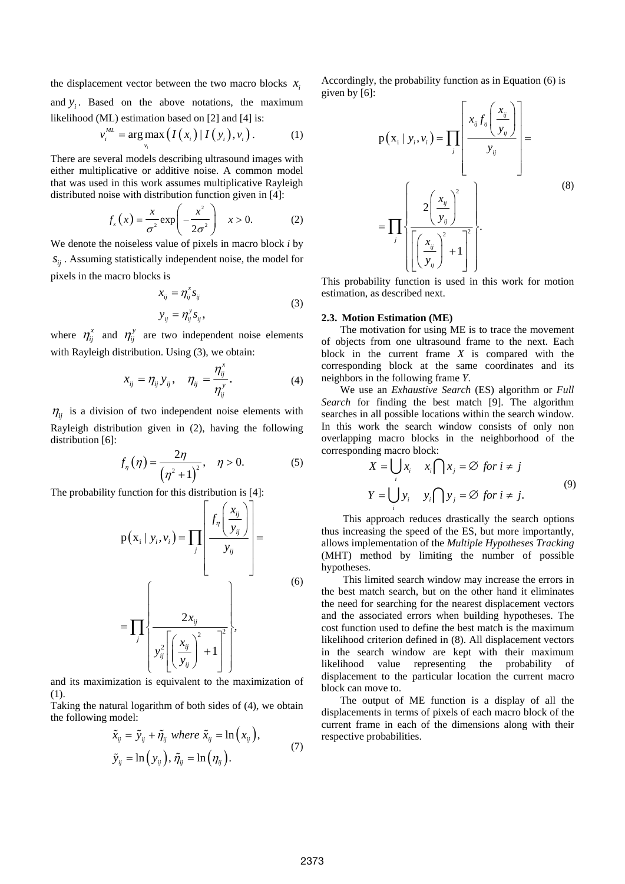the displacement vector between the two macro blocks  $x_i$ and  $y_i$ . Based on the above notations, the maximum likelihood (ML) estimation based on [2] and [4] is:

$$
v_i^{ML} = \arg \max_{v_i} \left( I(x_i) \, | \, I(y_i), v_i \right). \tag{1}
$$

There are several models describing ultrasound images with either multiplicative or additive noise. A common model that was used in this work assumes multiplicative Rayleigh distributed noise with distribution function given in [4]:

$$
f_x(x) = \frac{x}{\sigma^2} \exp\left(-\frac{x^2}{2\sigma^2}\right) \quad x > 0. \tag{2}
$$

We denote the noiseless value of pixels in macro block *i* by  $s_{ij}$ . Assuming statistically independent noise, the model for pixels in the macro blocks is

$$
x_{ij} = \eta_{ij}^x s_{ij}
$$
  
\n
$$
y_{ij} = \eta_{ij}^y s_{ij},
$$
\n(3)

where  $\eta_{ij}^x$  and  $\eta_{ij}^y$  are two independent noise elements with Rayleigh distribution. Using (3), we obtain:

$$
x_{ij} = \eta_{ij} y_{ij}, \quad \eta_{ij} = \frac{\eta_{ij}^x}{\eta_{ij}^y}.
$$
 (4)

 $\eta$ <sub>ij</sub> is a division of two independent noise elements with Rayleigh distribution given in (2), having the following distribution [6]:

$$
f_{\eta}(\eta) = \frac{2\eta}{(\eta^2 + 1)^2}, \quad \eta > 0. \tag{5}
$$

The probability function for this distribution is [4]:

$$
p(x_i | y_i, v_i) = \prod_j \left( \frac{f_\eta \left( \frac{x_{ij}}{y_{ij}} \right)}{y_{ij}} \right) = \prod_j \left( \frac{2x_{ij}}{y_{ij}} \right)^2
$$
\n
$$
= \prod_j \left\{ \frac{2x_{ij}}{y_{ij}^2 \left[ \left( \frac{x_{ij}}{y_{ij}} \right)^2 + 1 \right]^2} \right\},
$$
\n(6)

and its maximization is equivalent to the maximization of (1).

Taking the natural logarithm of both sides of (4), we obtain the following model:

$$
\tilde{x}_{ij} = \tilde{y}_{ij} + \tilde{\eta}_{ij} \text{ where } \tilde{x}_{ij} = \ln(x_{ij}),
$$
  
\n
$$
\tilde{y}_{ij} = \ln(y_{ij}), \tilde{\eta}_{ij} = \ln(\eta_{ij}).
$$
\n(7)

Accordingly, the probability function as in Equation (6) is given by [6]:

$$
p(x_i | y_i, v_i) = \prod_j \left| \frac{x_{ij}f_{\eta}\left(\frac{x_{ij}}{y_{ij}}\right)}{y_{ij}} \right| = \prod_j \left\{ \frac{2\left(\frac{x_{ij}}{y_{ij}}\right)^2}{\left[\left(\frac{x_{ij}}{y_{ij}}\right)^2 + 1\right]^2} \right\}.
$$
\n(8)

This probability function is used in this work for motion estimation, as described next.

#### **2.3. Motion Estimation (ME)**

The motivation for using ME is to trace the movement of objects from one ultrasound frame to the next. Each block in the current frame *X* is compared with the corresponding block at the same coordinates and its neighbors in the following frame *Y*.

We use an *Exhaustive Search* (ES) algorithm or *Full Search* for finding the best match [9]. The algorithm searches in all possible locations within the search window. In this work the search window consists of only non overlapping macro blocks in the neighborhood of the corresponding macro block:

$$
X = \bigcup_{i} x_{i} \quad x_{i} \cap x_{j} = \emptyset \text{ for } i \neq j
$$
  

$$
Y = \bigcup_{i} y_{i} \quad y_{i} \cap y_{j} = \emptyset \text{ for } i \neq j.
$$
 (9)

 This approach reduces drastically the search options thus increasing the speed of the ES, but more importantly, allows implementation of the *Multiple Hypotheses Tracking* (MHT) method by limiting the number of possible hypotheses.

 This limited search window may increase the errors in the best match search, but on the other hand it eliminates the need for searching for the nearest displacement vectors and the associated errors when building hypotheses. The cost function used to define the best match is the maximum likelihood criterion defined in (8). All displacement vectors in the search window are kept with their maximum likelihood value representing the probability of displacement to the particular location the current macro block can move to.

The output of ME function is a display of all the displacements in terms of pixels of each macro block of the current frame in each of the dimensions along with their respective probabilities.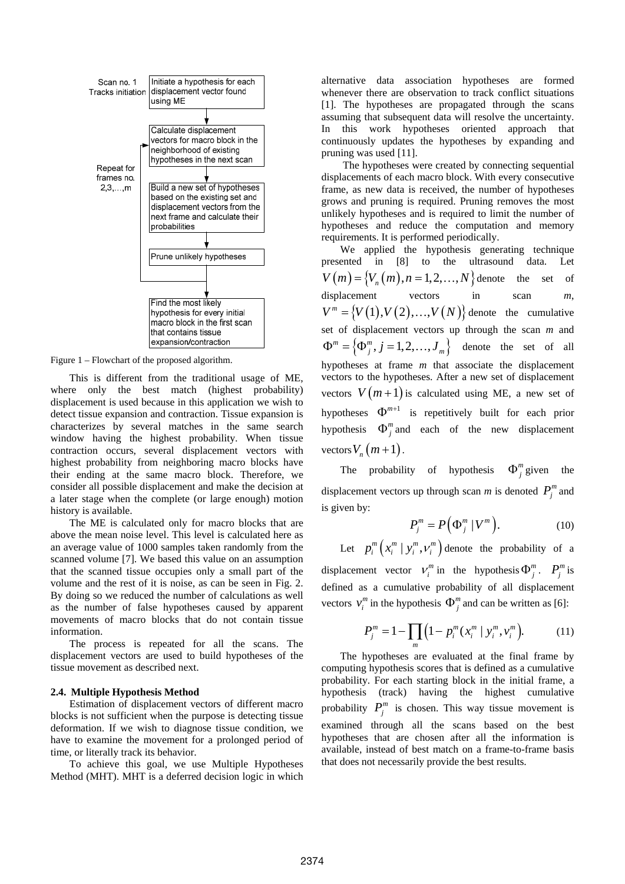

Figure 1 – Flowchart of the proposed algorithm.

This is different from the traditional usage of ME, where only the best match (highest probability) displacement is used because in this application we wish to detect tissue expansion and contraction. Tissue expansion is characterizes by several matches in the same search window having the highest probability. When tissue contraction occurs, several displacement vectors with highest probability from neighboring macro blocks have their ending at the same macro block. Therefore, we consider all possible displacement and make the decision at a later stage when the complete (or large enough) motion history is available.

The ME is calculated only for macro blocks that are above the mean noise level. This level is calculated here as an average value of 1000 samples taken randomly from the scanned volume [7]. We based this value on an assumption that the scanned tissue occupies only a small part of the volume and the rest of it is noise, as can be seen in Fig. 2. By doing so we reduced the number of calculations as well as the number of false hypotheses caused by apparent movements of macro blocks that do not contain tissue information.

The process is repeated for all the scans. The displacement vectors are used to build hypotheses of the tissue movement as described next.

#### **2.4. Multiple Hypothesis Method**

Estimation of displacement vectors of different macro blocks is not sufficient when the purpose is detecting tissue deformation. If we wish to diagnose tissue condition, we have to examine the movement for a prolonged period of time, or literally track its behavior.

To achieve this goal, we use Multiple Hypotheses Method (MHT). MHT is a deferred decision logic in which

alternative data association hypotheses are formed whenever there are observation to track conflict situations [1]. The hypotheses are propagated through the scans assuming that subsequent data will resolve the uncertainty. In this work hypotheses oriented approach that continuously updates the hypotheses by expanding and pruning was used [11].

 The hypotheses were created by connecting sequential displacements of each macro block. With every consecutive frame, as new data is received, the number of hypotheses grows and pruning is required. Pruning removes the most unlikely hypotheses and is required to limit the number of hypotheses and reduce the computation and memory requirements. It is performed periodically.

We applied the hypothesis generating technique presented in [8] to the ultrasound data. Let  $V(m) = {V_n(m), n = 1,2,..., N}$  denote the set of displacement vectors in scan *m*,  $V^m = \{ V(1), V(2), ..., V(N) \}$  denote the cumulative set of displacement vectors up through the scan *m* and  ${\Phi}^m = {\Phi}^m_j, j = 1,2,...,J_m$  denote the set of all hypotheses at frame *m* that associate the displacement vectors to the hypotheses. After a new set of displacement vectors  $V(m+1)$  is calculated using ME, a new set of hypotheses  $\Phi^{m+1}$  is repetitively built for each prior hypothesis  $\Phi_i^m$  and each of the new displacement vectors  $V_n(m+1)$ .

The probability of hypothesis  $\Phi_i^m$  given the displacement vectors up through scan *m* is denoted  $P_i^m$  and is given by:

$$
P_j^m = P(\Phi_j^m | V^m).
$$
 (10)

Let  $p_i^m \left( x_i^m \mid y_i^m, v_i^m \right)$  denote the probability of a displacement vector  $V_i^m$  in the hypothesis  $\Phi_i^m$ .  $P_i^m$  is defined as a cumulative probability of all displacement

ctors 
$$
v_i^m
$$
 in the hypothesis  $\Phi_j^m$  and can be written as [6]:

$$
P_j^m = 1 - \prod_m \left( 1 - p_i^m (x_i^m \mid y_i^m, v_i^m) \right).
$$
 (11)

The hypotheses are evaluated at the final frame by computing hypothesis scores that is defined as a cumulative probability. For each starting block in the initial frame, a hypothesis (track) having the highest cumulative probability  $P_i^m$  is chosen. This way tissue movement is examined through all the scans based on the best hypotheses that are chosen after all the information is available, instead of best match on a frame-to-frame basis that does not necessarily provide the best results.

ve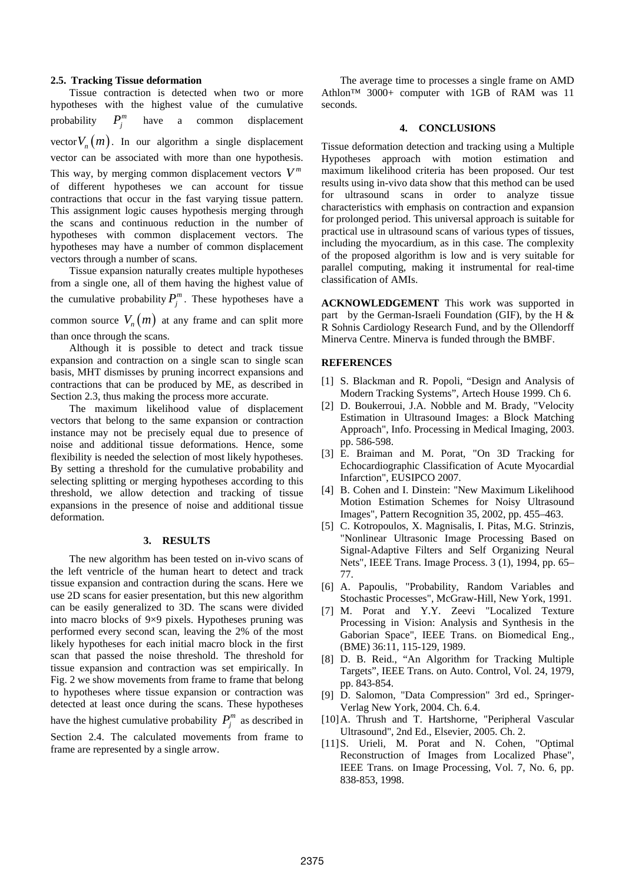#### **2.5. Tracking Tissue deformation**

Tissue contraction is detected when two or more hypotheses with the highest value of the cumulative probability  $P_i^m$  have a common displacement vector  $V_n(m)$ . In our algorithm a single displacement vector can be associated with more than one hypothesis. This way, by merging common displacement vectors  $V^m$ of different hypotheses we can account for tissue contractions that occur in the fast varying tissue pattern. This assignment logic causes hypothesis merging through the scans and continuous reduction in the number of hypotheses with common displacement vectors. The hypotheses may have a number of common displacement vectors through a number of scans.

Tissue expansion naturally creates multiple hypotheses from a single one, all of them having the highest value of the cumulative probability  $P_j^m$ . These hypotheses have a common source  $V_n(m)$  at any frame and can split more than once through the scans.

Although it is possible to detect and track tissue expansion and contraction on a single scan to single scan basis, MHT dismisses by pruning incorrect expansions and contractions that can be produced by ME, as described in Section 2.3, thus making the process more accurate.

The maximum likelihood value of displacement vectors that belong to the same expansion or contraction instance may not be precisely equal due to presence of noise and additional tissue deformations. Hence, some flexibility is needed the selection of most likely hypotheses. By setting a threshold for the cumulative probability and selecting splitting or merging hypotheses according to this threshold, we allow detection and tracking of tissue expansions in the presence of noise and additional tissue deformation.

#### **3. RESULTS**

The new algorithm has been tested on in-vivo scans of the left ventricle of the human heart to detect and track tissue expansion and contraction during the scans. Here we use 2D scans for easier presentation, but this new algorithm can be easily generalized to 3D. The scans were divided into macro blocks of 9×9 pixels. Hypotheses pruning was performed every second scan, leaving the 2% of the most likely hypotheses for each initial macro block in the first scan that passed the noise threshold. The threshold for tissue expansion and contraction was set empirically. In Fig. 2 we show movements from frame to frame that belong to hypotheses where tissue expansion or contraction was detected at least once during the scans. These hypotheses have the highest cumulative probability  $P_j^m$  as described in Section 2.4. The calculated movements from frame to frame are represented by a single arrow.

The average time to processes a single frame on AMD Athlon™ 3000+ computer with 1GB of RAM was 11 seconds.

## **4. CONCLUSIONS**

Tissue deformation detection and tracking using a Multiple Hypotheses approach with motion estimation and maximum likelihood criteria has been proposed. Our test results using in-vivo data show that this method can be used for ultrasound scans in order to analyze tissue characteristics with emphasis on contraction and expansion for prolonged period. This universal approach is suitable for practical use in ultrasound scans of various types of tissues, including the myocardium, as in this case. The complexity of the proposed algorithm is low and is very suitable for parallel computing, making it instrumental for real-time classification of AMIs.

**ACKNOWLEDGEMENT** This work was supported in part by the German-Israeli Foundation (GIF), by the H & R Sohnis Cardiology Research Fund, and by the Ollendorff Minerva Centre. Minerva is funded through the BMBF.

# **REFERENCES**

- [1] S. Blackman and R. Popoli, "Design and Analysis of Modern Tracking Systems", Artech House 1999. Ch 6.
- [2] D. Boukerroui, J.A. Nobble and M. Brady, "Velocity Estimation in Ultrasound Images: a Block Matching Approach", Info. Processing in Medical Imaging, 2003. pp. 586-598.
- [3] E. Braiman and M. Porat, "On 3D Tracking for Echocardiographic Classification of Acute Myocardial Infarction", EUSIPCO 2007.
- [4] B. Cohen and I. Dinstein: "New Maximum Likelihood Motion Estimation Schemes for Noisy Ultrasound Images", Pattern Recognition 35, 2002, pp. 455–463.
- [5] C. Kotropoulos, X. Magnisalis, I. Pitas, M.G. Strinzis, "Nonlinear Ultrasonic Image Processing Based on Signal-Adaptive Filters and Self Organizing Neural Nets", IEEE Trans. Image Process. 3 (1), 1994, pp. 65– 77.
- [6] A. Papoulis, "Probability, Random Variables and Stochastic Processes", McGraw-Hill, New York, 1991.
- [7] M. Porat and Y.Y. Zeevi "Localized Texture Processing in Vision: Analysis and Synthesis in the Gaborian Space", IEEE Trans. on Biomedical Eng., (BME) 36:11, 115-129, 1989.
- [8] D. B. Reid., "An Algorithm for Tracking Multiple Targets", IEEE Trans. on Auto. Control, Vol. 24, 1979, pp. 843-854.
- [9] D. Salomon, "Data Compression" 3rd ed., Springer-Verlag New York, 2004. Ch. 6.4.
- [10]A. Thrush and T. Hartshorne, "Peripheral Vascular Ultrasound", 2nd Ed., Elsevier, 2005. Ch. 2.
- [11]S. Urieli, M. Porat and N. Cohen, "Optimal Reconstruction of Images from Localized Phase", IEEE Trans. on Image Processing, Vol. 7, No. 6, pp. 838-853, 1998.